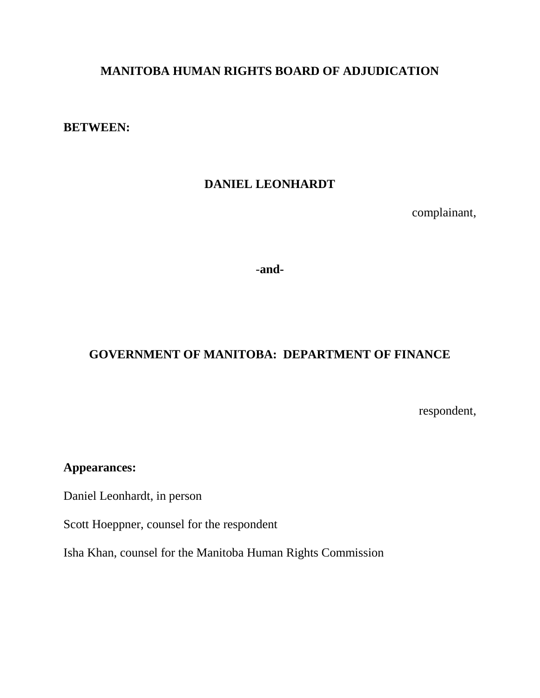# **MANITOBA HUMAN RIGHTS BOARD OF ADJUDICATION**

**BETWEEN:**

## **DANIEL LEONHARDT**

complainant,

-**and-**

## **GOVERNMENT OF MANITOBA: DEPARTMENT OF FINANCE**

respondent,

# **Appearances:**

Daniel Leonhardt, in person

Scott Hoeppner, counsel for the respondent

Isha Khan, counsel for the Manitoba Human Rights Commission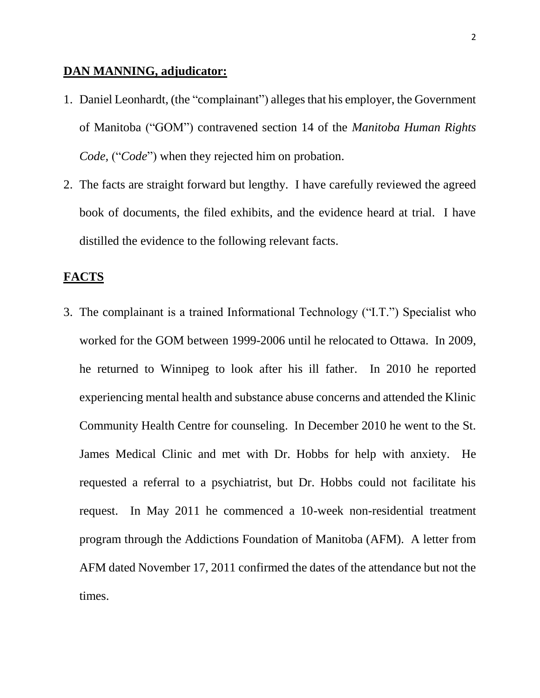### **DAN MANNING, adjudicator:**

- 1. Daniel Leonhardt, (the "complainant") alleges that his employer, the Government of Manitoba ("GOM") contravened section 14 of the *Manitoba Human Rights Code,* ("*Code*") when they rejected him on probation.
- 2. The facts are straight forward but lengthy. I have carefully reviewed the agreed book of documents, the filed exhibits, and the evidence heard at trial. I have distilled the evidence to the following relevant facts.

### **FACTS**

3. The complainant is a trained Informational Technology ("I.T.") Specialist who worked for the GOM between 1999-2006 until he relocated to Ottawa. In 2009, he returned to Winnipeg to look after his ill father. In 2010 he reported experiencing mental health and substance abuse concerns and attended the Klinic Community Health Centre for counseling. In December 2010 he went to the St. James Medical Clinic and met with Dr. Hobbs for help with anxiety. He requested a referral to a psychiatrist, but Dr. Hobbs could not facilitate his request. In May 2011 he commenced a 10-week non-residential treatment program through the Addictions Foundation of Manitoba (AFM). A letter from AFM dated November 17, 2011 confirmed the dates of the attendance but not the times.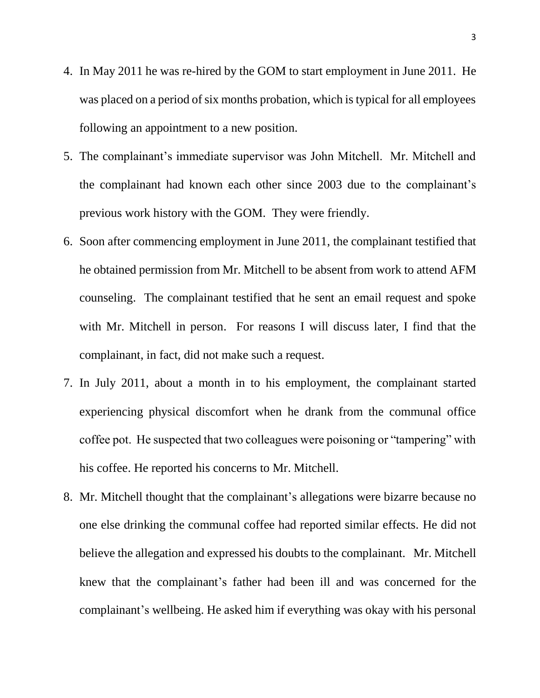- 4. In May 2011 he was re-hired by the GOM to start employment in June 2011. He was placed on a period of six months probation, which is typical for all employees following an appointment to a new position.
- 5. The complainant's immediate supervisor was John Mitchell. Mr. Mitchell and the complainant had known each other since 2003 due to the complainant's previous work history with the GOM. They were friendly.
- 6. Soon after commencing employment in June 2011, the complainant testified that he obtained permission from Mr. Mitchell to be absent from work to attend AFM counseling. The complainant testified that he sent an email request and spoke with Mr. Mitchell in person. For reasons I will discuss later, I find that the complainant, in fact, did not make such a request.
- 7. In July 2011, about a month in to his employment, the complainant started experiencing physical discomfort when he drank from the communal office coffee pot. He suspected that two colleagues were poisoning or "tampering" with his coffee. He reported his concerns to Mr. Mitchell.
- 8. Mr. Mitchell thought that the complainant's allegations were bizarre because no one else drinking the communal coffee had reported similar effects. He did not believe the allegation and expressed his doubts to the complainant. Mr. Mitchell knew that the complainant's father had been ill and was concerned for the complainant's wellbeing. He asked him if everything was okay with his personal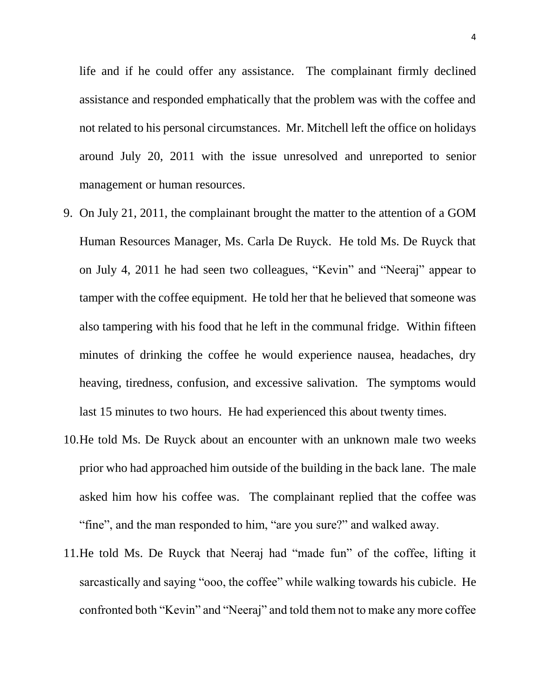life and if he could offer any assistance. The complainant firmly declined assistance and responded emphatically that the problem was with the coffee and not related to his personal circumstances. Mr. Mitchell left the office on holidays around July 20, 2011 with the issue unresolved and unreported to senior management or human resources.

- 9. On July 21, 2011, the complainant brought the matter to the attention of a GOM Human Resources Manager, Ms. Carla De Ruyck. He told Ms. De Ruyck that on July 4, 2011 he had seen two colleagues, "Kevin" and "Neeraj" appear to tamper with the coffee equipment. He told her that he believed that someone was also tampering with his food that he left in the communal fridge. Within fifteen minutes of drinking the coffee he would experience nausea, headaches, dry heaving, tiredness, confusion, and excessive salivation. The symptoms would last 15 minutes to two hours. He had experienced this about twenty times.
- 10.He told Ms. De Ruyck about an encounter with an unknown male two weeks prior who had approached him outside of the building in the back lane. The male asked him how his coffee was. The complainant replied that the coffee was "fine", and the man responded to him, "are you sure?" and walked away.
- 11.He told Ms. De Ruyck that Neeraj had "made fun" of the coffee, lifting it sarcastically and saying "ooo, the coffee" while walking towards his cubicle. He confronted both "Kevin" and "Neeraj" and told them not to make any more coffee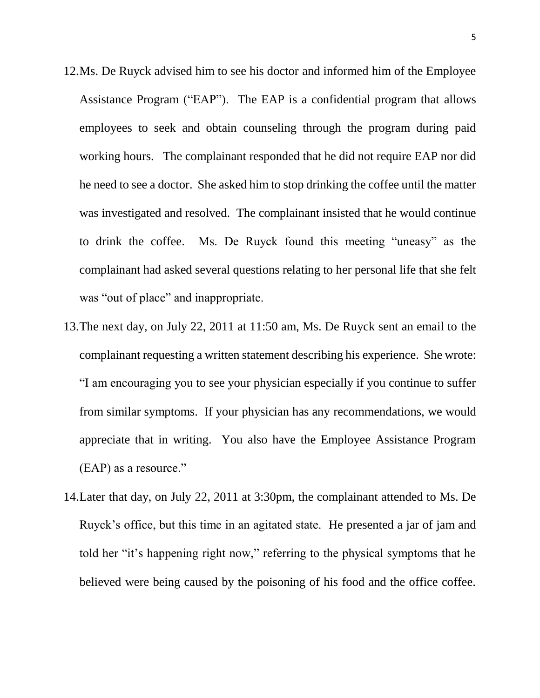- 12.Ms. De Ruyck advised him to see his doctor and informed him of the Employee Assistance Program ("EAP"). The EAP is a confidential program that allows employees to seek and obtain counseling through the program during paid working hours. The complainant responded that he did not require EAP nor did he need to see a doctor. She asked him to stop drinking the coffee until the matter was investigated and resolved. The complainant insisted that he would continue to drink the coffee. Ms. De Ruyck found this meeting "uneasy" as the complainant had asked several questions relating to her personal life that she felt was "out of place" and inappropriate.
- 13.The next day, on July 22, 2011 at 11:50 am, Ms. De Ruyck sent an email to the complainant requesting a written statement describing his experience. She wrote: "I am encouraging you to see your physician especially if you continue to suffer from similar symptoms. If your physician has any recommendations, we would appreciate that in writing. You also have the Employee Assistance Program (EAP) as a resource."
- 14.Later that day, on July 22, 2011 at 3:30pm, the complainant attended to Ms. De Ruyck's office, but this time in an agitated state. He presented a jar of jam and told her "it's happening right now," referring to the physical symptoms that he believed were being caused by the poisoning of his food and the office coffee.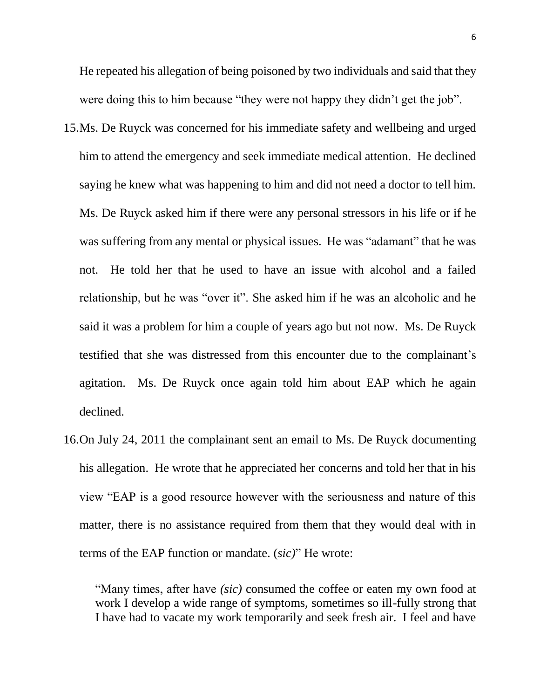He repeated his allegation of being poisoned by two individuals and said that they were doing this to him because "they were not happy they didn't get the job".

- 15.Ms. De Ruyck was concerned for his immediate safety and wellbeing and urged him to attend the emergency and seek immediate medical attention. He declined saying he knew what was happening to him and did not need a doctor to tell him. Ms. De Ruyck asked him if there were any personal stressors in his life or if he was suffering from any mental or physical issues. He was "adamant" that he was not. He told her that he used to have an issue with alcohol and a failed relationship, but he was "over it". She asked him if he was an alcoholic and he said it was a problem for him a couple of years ago but not now. Ms. De Ruyck testified that she was distressed from this encounter due to the complainant's agitation. Ms. De Ruyck once again told him about EAP which he again declined.
- 16.On July 24, 2011 the complainant sent an email to Ms. De Ruyck documenting his allegation. He wrote that he appreciated her concerns and told her that in his view "EAP is a good resource however with the seriousness and nature of this matter, there is no assistance required from them that they would deal with in terms of the EAP function or mandate. (*sic)*" He wrote:

"Many times, after have *(sic)* consumed the coffee or eaten my own food at work I develop a wide range of symptoms, sometimes so ill-fully strong that I have had to vacate my work temporarily and seek fresh air. I feel and have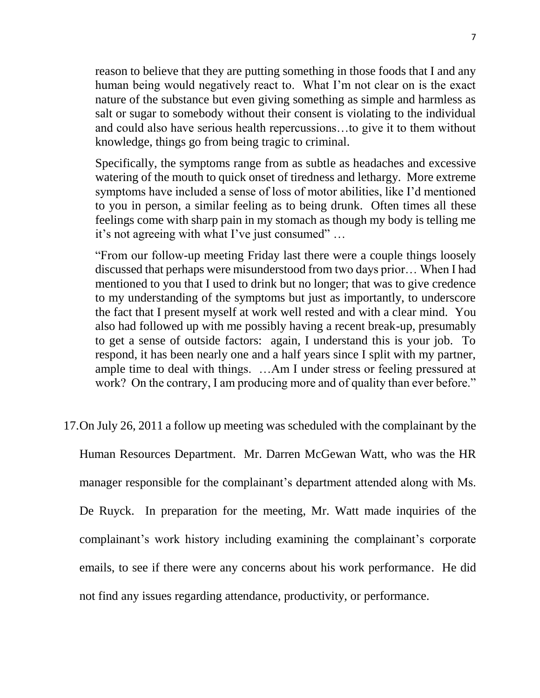reason to believe that they are putting something in those foods that I and any human being would negatively react to. What I'm not clear on is the exact nature of the substance but even giving something as simple and harmless as salt or sugar to somebody without their consent is violating to the individual and could also have serious health repercussions…to give it to them without knowledge, things go from being tragic to criminal.

Specifically, the symptoms range from as subtle as headaches and excessive watering of the mouth to quick onset of tiredness and lethargy. More extreme symptoms have included a sense of loss of motor abilities, like I'd mentioned to you in person, a similar feeling as to being drunk. Often times all these feelings come with sharp pain in my stomach as though my body is telling me it's not agreeing with what I've just consumed" …

"From our follow-up meeting Friday last there were a couple things loosely discussed that perhaps were misunderstood from two days prior… When I had mentioned to you that I used to drink but no longer; that was to give credence to my understanding of the symptoms but just as importantly, to underscore the fact that I present myself at work well rested and with a clear mind. You also had followed up with me possibly having a recent break-up, presumably to get a sense of outside factors: again, I understand this is your job. To respond, it has been nearly one and a half years since I split with my partner, ample time to deal with things. …Am I under stress or feeling pressured at work? On the contrary, I am producing more and of quality than ever before."

### 17.On July 26, 2011 a follow up meeting was scheduled with the complainant by the

Human Resources Department. Mr. Darren McGewan Watt, who was the HR manager responsible for the complainant's department attended along with Ms. De Ruyck. In preparation for the meeting, Mr. Watt made inquiries of the complainant's work history including examining the complainant's corporate emails, to see if there were any concerns about his work performance. He did not find any issues regarding attendance, productivity, or performance.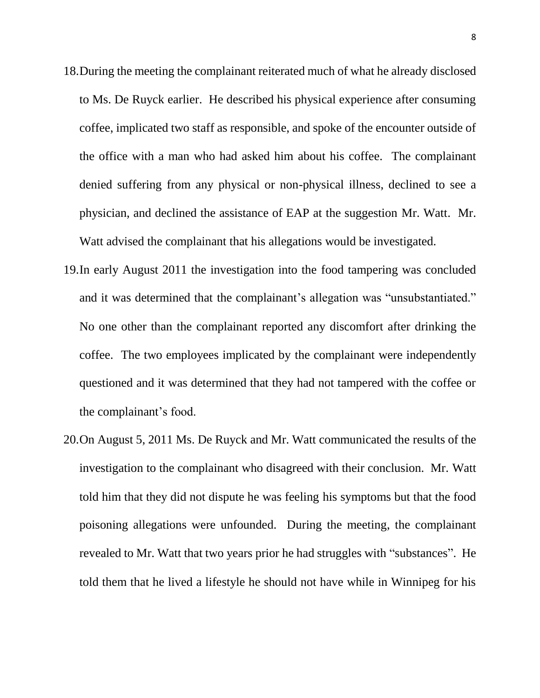- 18.During the meeting the complainant reiterated much of what he already disclosed to Ms. De Ruyck earlier. He described his physical experience after consuming coffee, implicated two staff as responsible, and spoke of the encounter outside of the office with a man who had asked him about his coffee. The complainant denied suffering from any physical or non-physical illness, declined to see a physician, and declined the assistance of EAP at the suggestion Mr. Watt. Mr. Watt advised the complainant that his allegations would be investigated.
- 19.In early August 2011 the investigation into the food tampering was concluded and it was determined that the complainant's allegation was "unsubstantiated." No one other than the complainant reported any discomfort after drinking the coffee. The two employees implicated by the complainant were independently questioned and it was determined that they had not tampered with the coffee or the complainant's food.
- 20.On August 5, 2011 Ms. De Ruyck and Mr. Watt communicated the results of the investigation to the complainant who disagreed with their conclusion. Mr. Watt told him that they did not dispute he was feeling his symptoms but that the food poisoning allegations were unfounded. During the meeting, the complainant revealed to Mr. Watt that two years prior he had struggles with "substances". He told them that he lived a lifestyle he should not have while in Winnipeg for his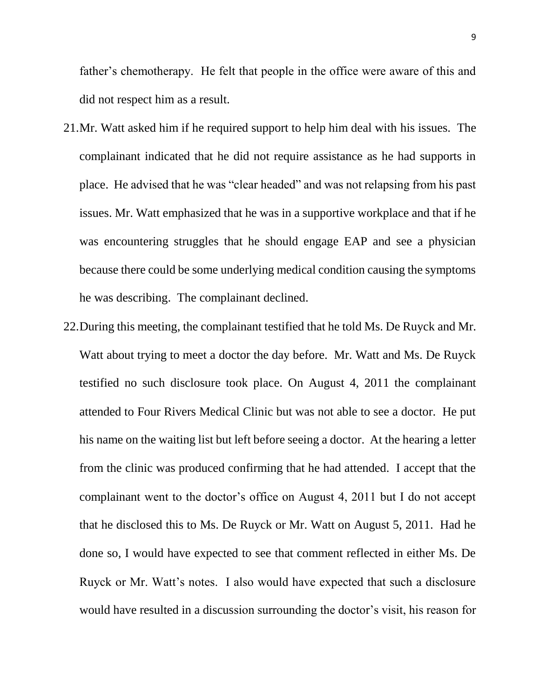father's chemotherapy. He felt that people in the office were aware of this and did not respect him as a result.

- 21.Mr. Watt asked him if he required support to help him deal with his issues. The complainant indicated that he did not require assistance as he had supports in place. He advised that he was "clear headed" and was not relapsing from his past issues. Mr. Watt emphasized that he was in a supportive workplace and that if he was encountering struggles that he should engage EAP and see a physician because there could be some underlying medical condition causing the symptoms he was describing. The complainant declined.
- 22.During this meeting, the complainant testified that he told Ms. De Ruyck and Mr. Watt about trying to meet a doctor the day before. Mr. Watt and Ms. De Ruyck testified no such disclosure took place. On August 4, 2011 the complainant attended to Four Rivers Medical Clinic but was not able to see a doctor. He put his name on the waiting list but left before seeing a doctor. At the hearing a letter from the clinic was produced confirming that he had attended. I accept that the complainant went to the doctor's office on August 4, 2011 but I do not accept that he disclosed this to Ms. De Ruyck or Mr. Watt on August 5, 2011. Had he done so, I would have expected to see that comment reflected in either Ms. De Ruyck or Mr. Watt's notes. I also would have expected that such a disclosure would have resulted in a discussion surrounding the doctor's visit, his reason for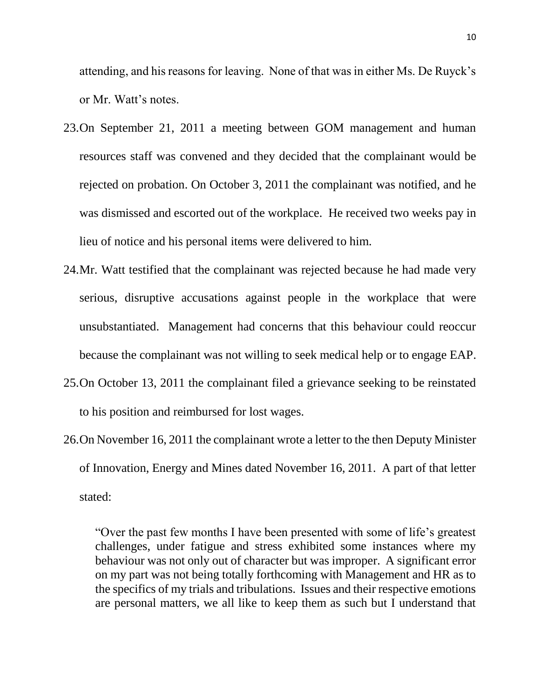attending, and his reasons for leaving. None of that was in either Ms. De Ruyck's or Mr. Watt's notes.

- 23.On September 21, 2011 a meeting between GOM management and human resources staff was convened and they decided that the complainant would be rejected on probation. On October 3, 2011 the complainant was notified, and he was dismissed and escorted out of the workplace. He received two weeks pay in lieu of notice and his personal items were delivered to him.
- 24.Mr. Watt testified that the complainant was rejected because he had made very serious, disruptive accusations against people in the workplace that were unsubstantiated. Management had concerns that this behaviour could reoccur because the complainant was not willing to seek medical help or to engage EAP.
- 25.On October 13, 2011 the complainant filed a grievance seeking to be reinstated to his position and reimbursed for lost wages.
- 26.On November 16, 2011 the complainant wrote a letter to the then Deputy Minister of Innovation, Energy and Mines dated November 16, 2011. A part of that letter stated:

"Over the past few months I have been presented with some of life's greatest challenges, under fatigue and stress exhibited some instances where my behaviour was not only out of character but was improper. A significant error on my part was not being totally forthcoming with Management and HR as to the specifics of my trials and tribulations. Issues and their respective emotions are personal matters, we all like to keep them as such but I understand that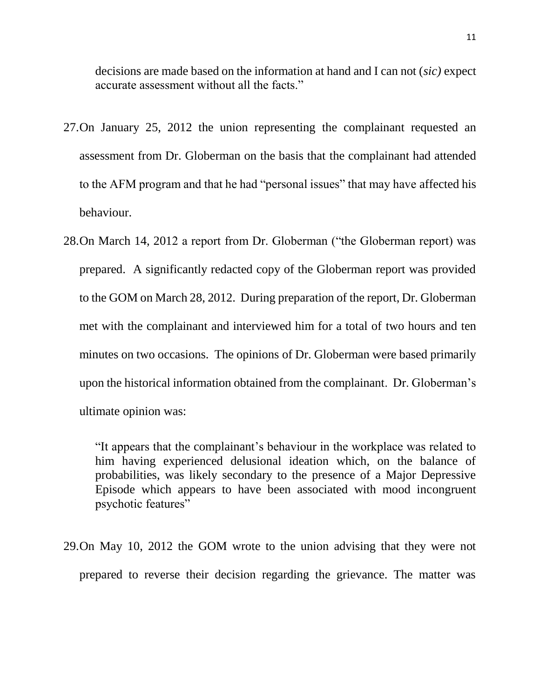decisions are made based on the information at hand and I can not (*sic)* expect accurate assessment without all the facts."

- 27.On January 25, 2012 the union representing the complainant requested an assessment from Dr. Globerman on the basis that the complainant had attended to the AFM program and that he had "personal issues" that may have affected his behaviour.
- 28.On March 14, 2012 a report from Dr. Globerman ("the Globerman report) was prepared. A significantly redacted copy of the Globerman report was provided to the GOM on March 28, 2012. During preparation of the report, Dr. Globerman met with the complainant and interviewed him for a total of two hours and ten minutes on two occasions. The opinions of Dr. Globerman were based primarily upon the historical information obtained from the complainant. Dr. Globerman's ultimate opinion was:

"It appears that the complainant's behaviour in the workplace was related to him having experienced delusional ideation which, on the balance of probabilities, was likely secondary to the presence of a Major Depressive Episode which appears to have been associated with mood incongruent psychotic features"

29.On May 10, 2012 the GOM wrote to the union advising that they were not prepared to reverse their decision regarding the grievance. The matter was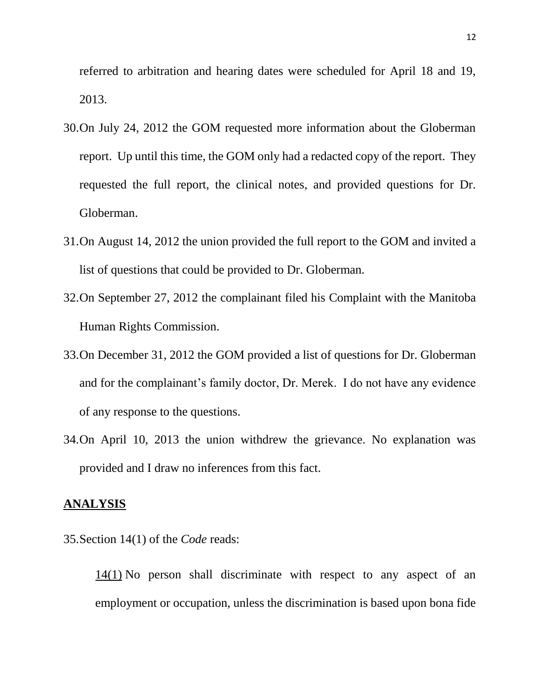referred to arbitration and hearing dates were scheduled for April 18 and 19, 2013.

- 30.On July 24, 2012 the GOM requested more information about the Globerman report. Up until this time, the GOM only had a redacted copy of the report. They requested the full report, the clinical notes, and provided questions for Dr. Globerman.
- 31.On August 14, 2012 the union provided the full report to the GOM and invited a list of questions that could be provided to Dr. Globerman.
- 32.On September 27, 2012 the complainant filed his Complaint with the Manitoba Human Rights Commission.
- 33.On December 31, 2012 the GOM provided a list of questions for Dr. Globerman and for the complainant's family doctor, Dr. Merek. I do not have any evidence of any response to the questions.
- 34.On April 10, 2013 the union withdrew the grievance. No explanation was provided and I draw no inferences from this fact.

### **ANALYSIS**

35.Section 14(1) of the *Code* reads:

[14\(1\)](https://web2.gov.mb.ca/laws/statutes/ccsm/h175f.php#14) No person shall discriminate with respect to any aspect of an employment or occupation, unless the discrimination is based upon bona fide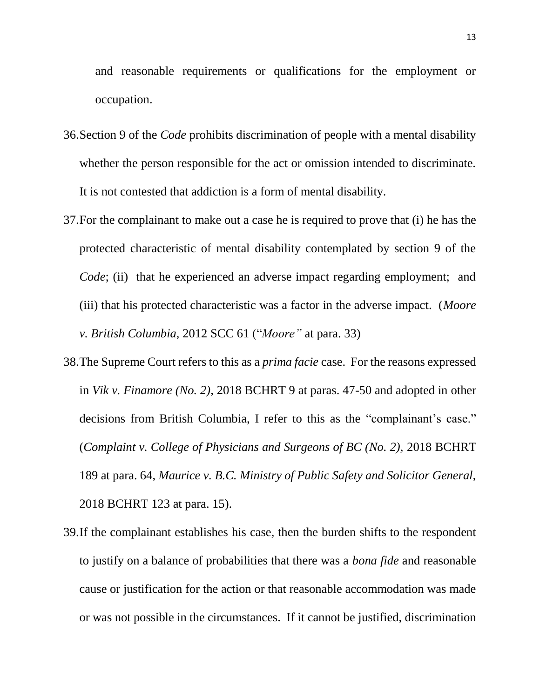and reasonable requirements or qualifications for the employment or occupation.

- 36.Section 9 of the *Code* prohibits discrimination of people with a mental disability whether the person responsible for the act or omission intended to discriminate. It is not contested that addiction is a form of mental disability.
- 37.For the complainant to make out a case he is required to prove that (i) he has the protected characteristic of mental disability contemplated by section 9 of the *Code*; (ii) that he experienced an adverse impact regarding employment; and (iii) that his protected characteristic was a factor in the adverse impact. (*Moore v. British Columbia,* 2012 SCC 61 ("*Moore"* at para. 33)
- 38.The Supreme Court refers to this as a *prima facie* case. For the reasons expressed in *Vik v. Finamore (No. 2),* 2018 BCHRT 9 at paras. 47-50 and adopted in other decisions from British Columbia, I refer to this as the "complainant's case." (*Complaint v. College of Physicians and Surgeons of BC (No. 2),* 2018 BCHRT 189 at para. 64, *Maurice v. B.C. Ministry of Public Safety and Solicitor General,*  2018 BCHRT 123 at para. 15).
- 39.If the complainant establishes his case, then the burden shifts to the respondent to justify on a balance of probabilities that there was a *bona fide* and reasonable cause or justification for the action or that reasonable accommodation was made or was not possible in the circumstances. If it cannot be justified, discrimination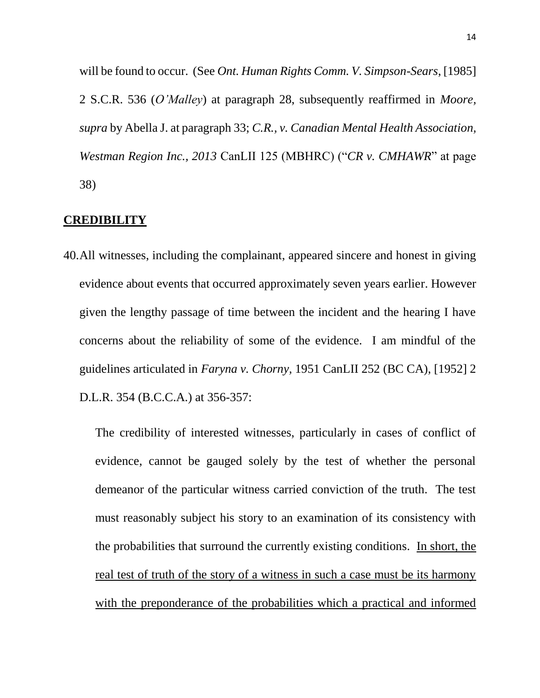will be found to occur. (See *Ont. Human Rights Comm. V. Simpson-Sears*, [1985] 2 S.C.R. 536 (*O'Malley*) at paragraph 28, subsequently reaffirmed in *Moore, supra* by Abella J. at paragraph 33; *C.R., v. Canadian Mental Health Association, Westman Region Inc., 2013* CanLII 125 (MBHRC) ("*CR v. CMHAWR*" at page 38)

## **CREDIBILITY**

40.All witnesses, including the complainant, appeared sincere and honest in giving evidence about events that occurred approximately seven years earlier. However given the lengthy passage of time between the incident and the hearing I have concerns about the reliability of some of the evidence. I am mindful of the guidelines articulated in *Faryna v. Chorny,* 1951 CanLII 252 (BC CA), [1952] 2 D.L.R. 354 (B.C.C.A.) at 356-357:

The credibility of interested witnesses, particularly in cases of conflict of evidence, cannot be gauged solely by the test of whether the personal demeanor of the particular witness carried conviction of the truth. The test must reasonably subject his story to an examination of its consistency with the probabilities that surround the currently existing conditions. In short, the real test of truth of the story of a witness in such a case must be its harmony with the preponderance of the probabilities which a practical and informed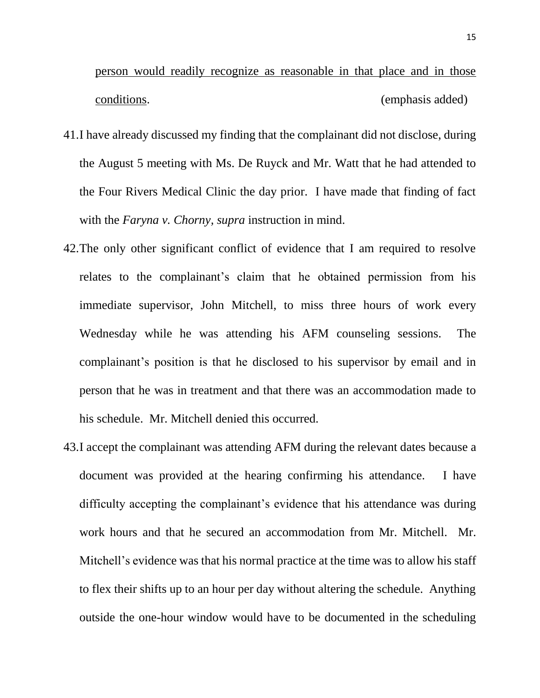person would readily recognize as reasonable in that place and in those conditions. (emphasis added)

- 41.I have already discussed my finding that the complainant did not disclose, during the August 5 meeting with Ms. De Ruyck and Mr. Watt that he had attended to the Four Rivers Medical Clinic the day prior. I have made that finding of fact with the *Faryna v. Chorny, supra* instruction in mind.
- 42.The only other significant conflict of evidence that I am required to resolve relates to the complainant's claim that he obtained permission from his immediate supervisor, John Mitchell, to miss three hours of work every Wednesday while he was attending his AFM counseling sessions. The complainant's position is that he disclosed to his supervisor by email and in person that he was in treatment and that there was an accommodation made to his schedule. Mr. Mitchell denied this occurred.
- 43.I accept the complainant was attending AFM during the relevant dates because a document was provided at the hearing confirming his attendance. I have difficulty accepting the complainant's evidence that his attendance was during work hours and that he secured an accommodation from Mr. Mitchell. Mr. Mitchell's evidence was that his normal practice at the time was to allow his staff to flex their shifts up to an hour per day without altering the schedule. Anything outside the one-hour window would have to be documented in the scheduling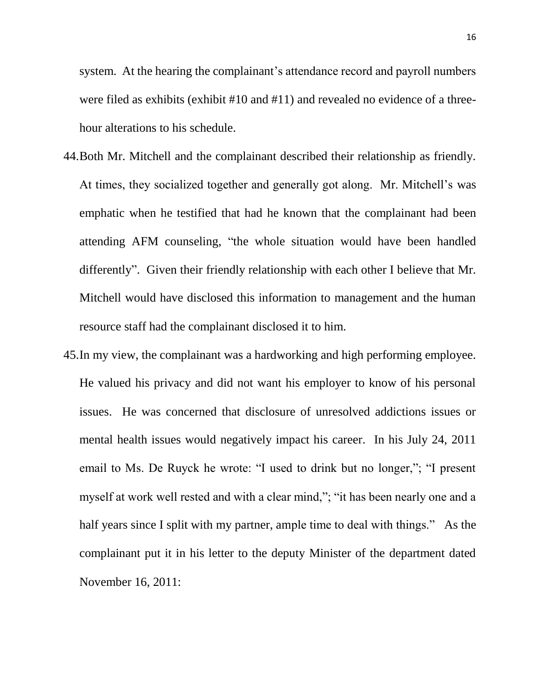system. At the hearing the complainant's attendance record and payroll numbers were filed as exhibits (exhibit #10 and #11) and revealed no evidence of a threehour alterations to his schedule.

- 44.Both Mr. Mitchell and the complainant described their relationship as friendly. At times, they socialized together and generally got along. Mr. Mitchell's was emphatic when he testified that had he known that the complainant had been attending AFM counseling, "the whole situation would have been handled differently". Given their friendly relationship with each other I believe that Mr. Mitchell would have disclosed this information to management and the human resource staff had the complainant disclosed it to him.
- 45.In my view, the complainant was a hardworking and high performing employee. He valued his privacy and did not want his employer to know of his personal issues. He was concerned that disclosure of unresolved addictions issues or mental health issues would negatively impact his career. In his July 24, 2011 email to Ms. De Ruyck he wrote: "I used to drink but no longer,"; "I present myself at work well rested and with a clear mind,"; "it has been nearly one and a half years since I split with my partner, ample time to deal with things." As the complainant put it in his letter to the deputy Minister of the department dated November 16, 2011: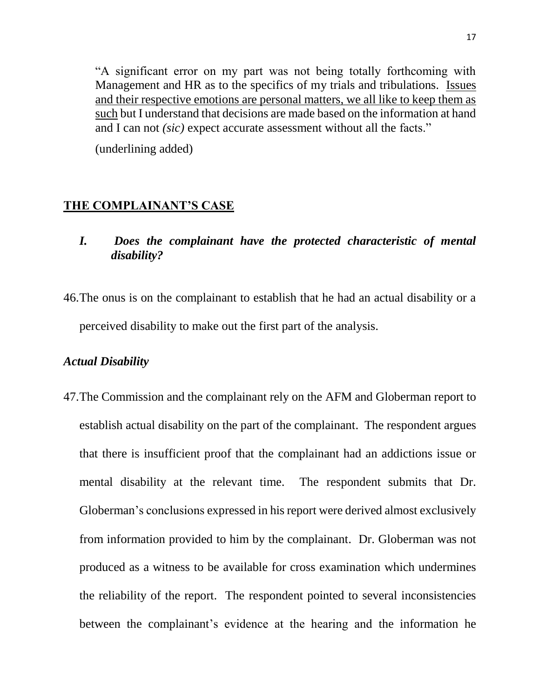"A significant error on my part was not being totally forthcoming with Management and HR as to the specifics of my trials and tribulations. Issues and their respective emotions are personal matters, we all like to keep them as such but I understand that decisions are made based on the information at hand and I can not *(sic)* expect accurate assessment without all the facts."

(underlining added)

### **THE COMPLAINANT'S CASE**

- *I. Does the complainant have the protected characteristic of mental disability?*
- 46.The onus is on the complainant to establish that he had an actual disability or a perceived disability to make out the first part of the analysis.

### *Actual Disability*

47.The Commission and the complainant rely on the AFM and Globerman report to establish actual disability on the part of the complainant. The respondent argues that there is insufficient proof that the complainant had an addictions issue or mental disability at the relevant time. The respondent submits that Dr. Globerman's conclusions expressed in his report were derived almost exclusively from information provided to him by the complainant. Dr. Globerman was not produced as a witness to be available for cross examination which undermines the reliability of the report. The respondent pointed to several inconsistencies between the complainant's evidence at the hearing and the information he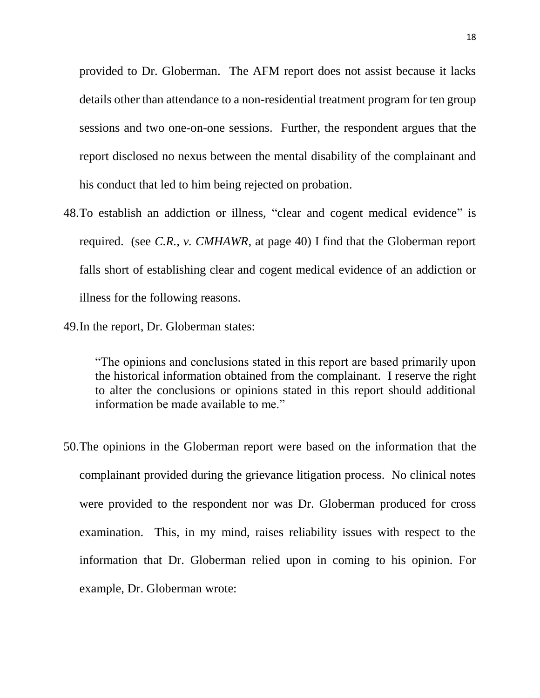provided to Dr. Globerman. The AFM report does not assist because it lacks details other than attendance to a non-residential treatment program for ten group sessions and two one-on-one sessions. Further, the respondent argues that the report disclosed no nexus between the mental disability of the complainant and his conduct that led to him being rejected on probation.

- 48.To establish an addiction or illness, "clear and cogent medical evidence" is required. (see *C.R., v. CMHAWR*, at page 40) I find that the Globerman report falls short of establishing clear and cogent medical evidence of an addiction or illness for the following reasons.
- 49.In the report, Dr. Globerman states:

"The opinions and conclusions stated in this report are based primarily upon the historical information obtained from the complainant. I reserve the right to alter the conclusions or opinions stated in this report should additional information be made available to me."

50.The opinions in the Globerman report were based on the information that the complainant provided during the grievance litigation process. No clinical notes were provided to the respondent nor was Dr. Globerman produced for cross examination. This, in my mind, raises reliability issues with respect to the information that Dr. Globerman relied upon in coming to his opinion. For example, Dr. Globerman wrote: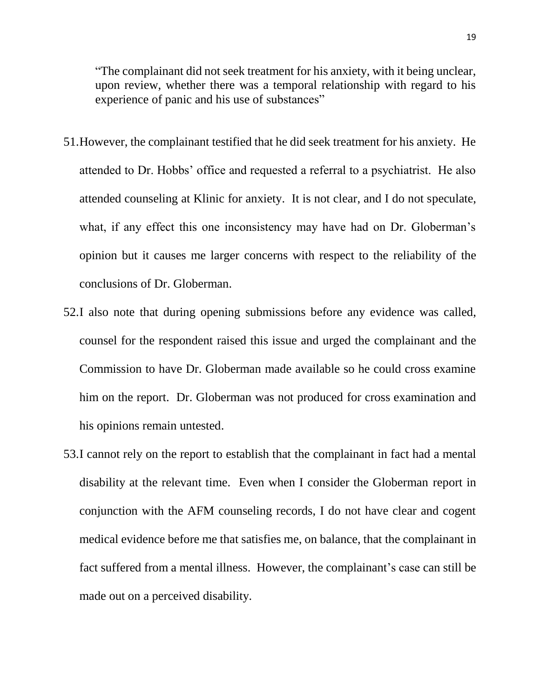"The complainant did not seek treatment for his anxiety, with it being unclear, upon review, whether there was a temporal relationship with regard to his experience of panic and his use of substances"

- 51.However, the complainant testified that he did seek treatment for his anxiety. He attended to Dr. Hobbs' office and requested a referral to a psychiatrist. He also attended counseling at Klinic for anxiety. It is not clear, and I do not speculate, what, if any effect this one inconsistency may have had on Dr. Globerman's opinion but it causes me larger concerns with respect to the reliability of the conclusions of Dr. Globerman.
- 52.I also note that during opening submissions before any evidence was called, counsel for the respondent raised this issue and urged the complainant and the Commission to have Dr. Globerman made available so he could cross examine him on the report. Dr. Globerman was not produced for cross examination and his opinions remain untested.
- 53.I cannot rely on the report to establish that the complainant in fact had a mental disability at the relevant time. Even when I consider the Globerman report in conjunction with the AFM counseling records, I do not have clear and cogent medical evidence before me that satisfies me, on balance, that the complainant in fact suffered from a mental illness. However, the complainant's case can still be made out on a perceived disability.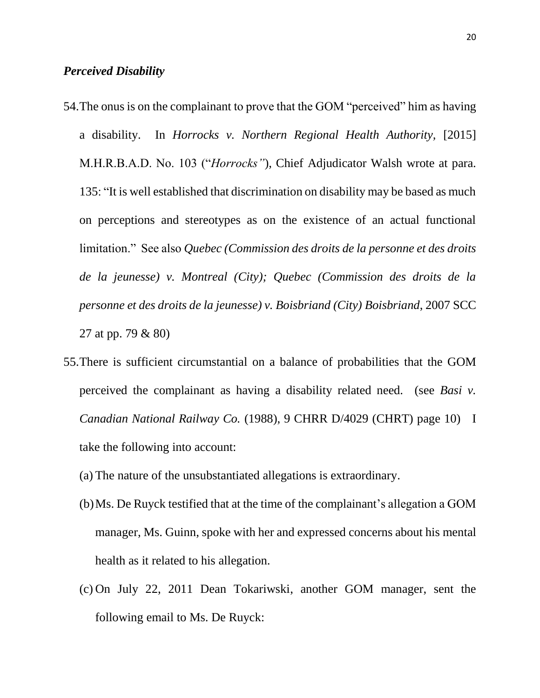### *Perceived Disability*

- 54.The onus is on the complainant to prove that the GOM "perceived" him as having a disability. In *Horrocks v. Northern Regional Health Authority,* [2015] M.H.R.B.A.D. No. 103 ("*Horrocks"*), Chief Adjudicator Walsh wrote at para. 135: "It is well established that discrimination on disability may be based as much on perceptions and stereotypes as on the existence of an actual functional limitation." See also *Quebec (Commission des droits de la personne et des droits de la jeunesse) v. Montreal (City); Quebec (Commission des droits de la personne et des droits de la jeunesse) v. Boisbriand (City) Boisbriand*, 2007 SCC 27 at pp. 79 & 80)
- 55.There is sufficient circumstantial on a balance of probabilities that the GOM perceived the complainant as having a disability related need. (see *Basi v. Canadian National Railway Co.* (1988), 9 CHRR D/4029 (CHRT) page 10) I take the following into account:
	- (a) The nature of the unsubstantiated allegations is extraordinary.
	- (b)Ms. De Ruyck testified that at the time of the complainant's allegation a GOM manager, Ms. Guinn, spoke with her and expressed concerns about his mental health as it related to his allegation.
	- (c) On July 22, 2011 Dean Tokariwski, another GOM manager, sent the following email to Ms. De Ruyck: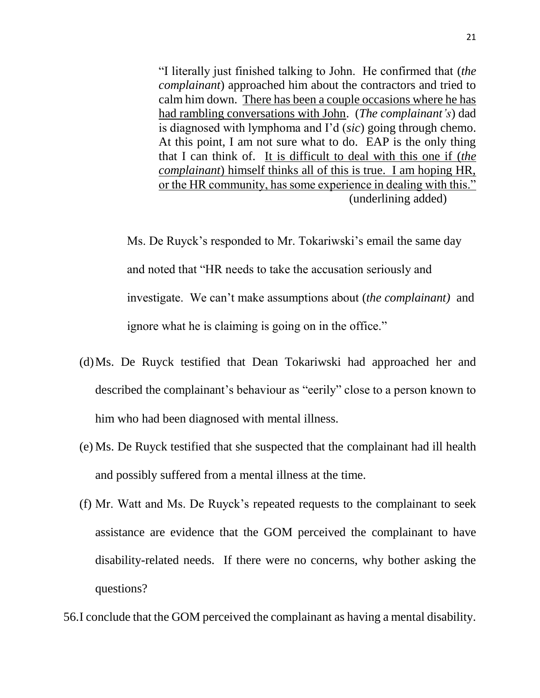"I literally just finished talking to John. He confirmed that (*the complainant*) approached him about the contractors and tried to calm him down. There has been a couple occasions where he has had rambling conversations with John. (*The complainant's*) dad is diagnosed with lymphoma and I'd (*sic*) going through chemo. At this point, I am not sure what to do. EAP is the only thing that I can think of. It is difficult to deal with this one if (*the complainant*) himself thinks all of this is true. I am hoping HR, or the HR community, has some experience in dealing with this." (underlining added)

Ms. De Ruyck's responded to Mr. Tokariwski's email the same day and noted that "HR needs to take the accusation seriously and investigate. We can't make assumptions about (*the complainant)* and ignore what he is claiming is going on in the office."

- (d)Ms. De Ruyck testified that Dean Tokariwski had approached her and described the complainant's behaviour as "eerily" close to a person known to him who had been diagnosed with mental illness.
- (e) Ms. De Ruyck testified that she suspected that the complainant had ill health and possibly suffered from a mental illness at the time.
- (f) Mr. Watt and Ms. De Ruyck's repeated requests to the complainant to seek assistance are evidence that the GOM perceived the complainant to have disability-related needs. If there were no concerns, why bother asking the questions?

56.I conclude that the GOM perceived the complainant as having a mental disability.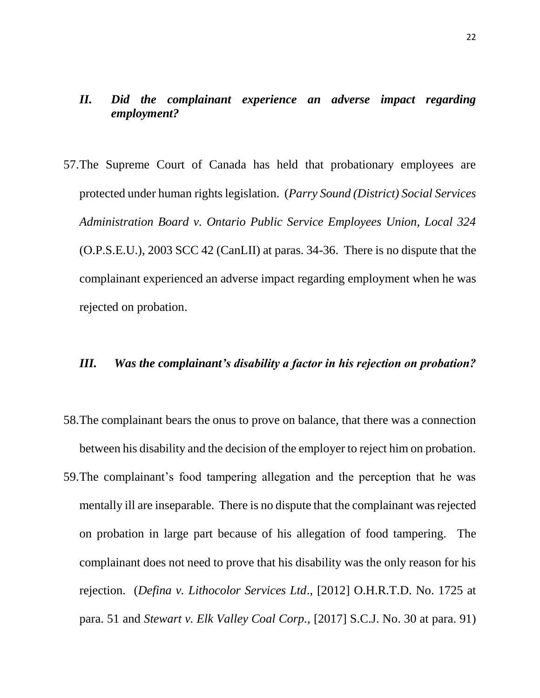## *II. Did the complainant experience an adverse impact regarding employment?*

57.The Supreme Court of Canada has held that probationary employees are protected under human rights legislation. (*Parry Sound (District) Social Services Administration Board v. Ontario Public Service Employees Union, Local 324* (O.P.S.E.U.), 2003 SCC 42 (CanLII) at paras. 34-36. There is no dispute that the complainant experienced an adverse impact regarding employment when he was rejected on probation.

### *III. Was the complainant's disability a factor in his rejection on probation?*

- 58.The complainant bears the onus to prove on balance, that there was a connection between his disability and the decision of the employer to reject him on probation.
- 59.The complainant's food tampering allegation and the perception that he was mentally ill are inseparable. There is no dispute that the complainant was rejected on probation in large part because of his allegation of food tampering. The complainant does not need to prove that his disability was the only reason for his rejection. (*Defina v. Lithocolor Services Ltd*., [2012] O.H.R.T.D. No. 1725 at para. 51 and *Stewart v. Elk Valley Coal Corp.,* [2017] S.C.J. No. 30 at para. 91)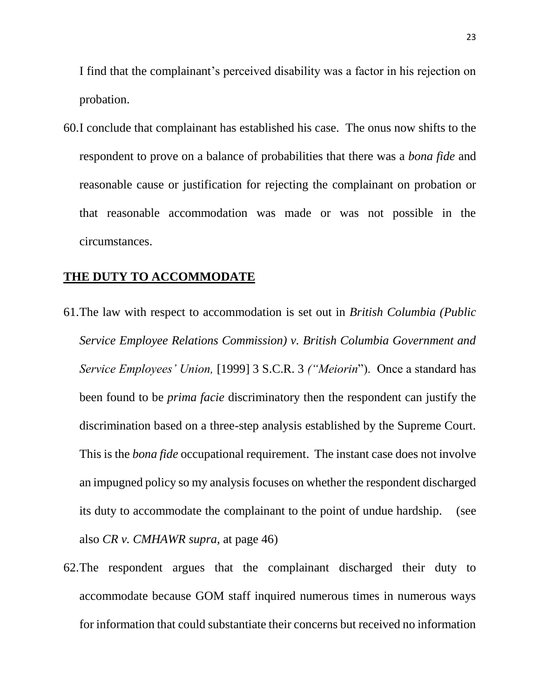I find that the complainant's perceived disability was a factor in his rejection on probation.

60.I conclude that complainant has established his case. The onus now shifts to the respondent to prove on a balance of probabilities that there was a *bona fide* and reasonable cause or justification for rejecting the complainant on probation or that reasonable accommodation was made or was not possible in the circumstances.

#### **THE DUTY TO ACCOMMODATE**

- 61.The law with respect to accommodation is set out in *British Columbia (Public Service Employee Relations Commission) v. British Columbia Government and Service Employees' Union,* [1999] 3 S.C.R. 3 *("Meiorin*"). Once a standard has been found to be *prima facie* discriminatory then the respondent can justify the discrimination based on a three-step analysis established by the Supreme Court. This is the *bona fide* occupational requirement. The instant case does not involve an impugned policy so my analysis focuses on whether the respondent discharged its duty to accommodate the complainant to the point of undue hardship. (see also *CR v. CMHAWR supra,* at page 46)
- 62.The respondent argues that the complainant discharged their duty to accommodate because GOM staff inquired numerous times in numerous ways for information that could substantiate their concerns but received no information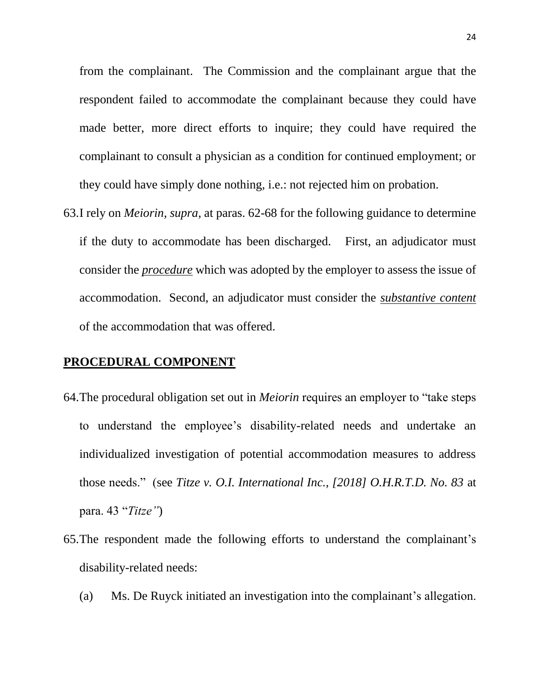from the complainant. The Commission and the complainant argue that the respondent failed to accommodate the complainant because they could have made better, more direct efforts to inquire; they could have required the complainant to consult a physician as a condition for continued employment; or they could have simply done nothing, i.e.: not rejected him on probation.

63.I rely on *Meiorin, supra*, at paras. 62-68 for the following guidance to determine if the duty to accommodate has been discharged. First, an adjudicator must consider the *procedure* which was adopted by the employer to assess the issue of accommodation. Second, an adjudicator must consider the *substantive content* of the accommodation that was offered.

#### **PROCEDURAL COMPONENT**

- 64.The procedural obligation set out in *Meiorin* requires an employer to "take steps to understand the employee's disability-related needs and undertake an individualized investigation of potential accommodation measures to address those needs." (see *Titze v. O.I. International Inc., [2018] O.H.R.T.D. No. 83* at para. 43 "*Titze"*)
- 65.The respondent made the following efforts to understand the complainant's disability-related needs:
	- (a) Ms. De Ruyck initiated an investigation into the complainant's allegation.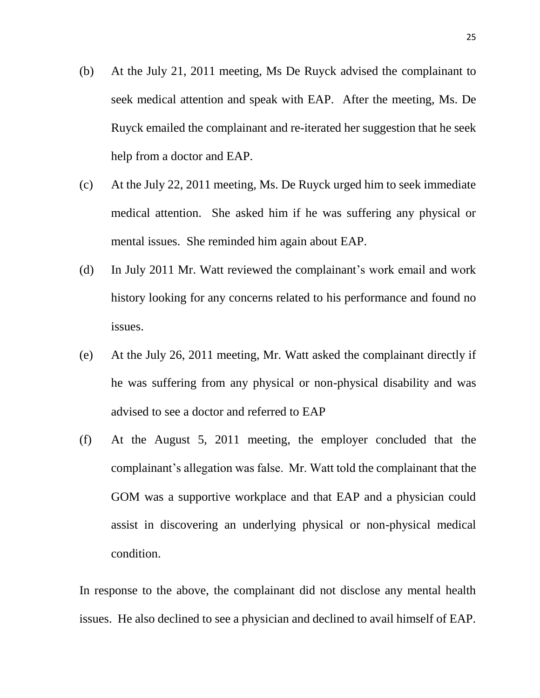- (b) At the July 21, 2011 meeting, Ms De Ruyck advised the complainant to seek medical attention and speak with EAP. After the meeting, Ms. De Ruyck emailed the complainant and re-iterated her suggestion that he seek help from a doctor and EAP.
- (c) At the July 22, 2011 meeting, Ms. De Ruyck urged him to seek immediate medical attention. She asked him if he was suffering any physical or mental issues. She reminded him again about EAP.
- (d) In July 2011 Mr. Watt reviewed the complainant's work email and work history looking for any concerns related to his performance and found no issues.
- (e) At the July 26, 2011 meeting, Mr. Watt asked the complainant directly if he was suffering from any physical or non-physical disability and was advised to see a doctor and referred to EAP
- (f) At the August 5, 2011 meeting, the employer concluded that the complainant's allegation was false. Mr. Watt told the complainant that the GOM was a supportive workplace and that EAP and a physician could assist in discovering an underlying physical or non-physical medical condition.

In response to the above, the complainant did not disclose any mental health issues. He also declined to see a physician and declined to avail himself of EAP.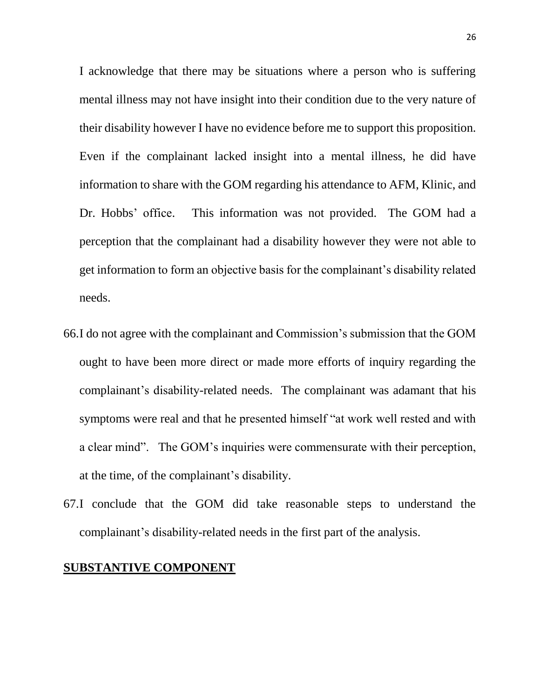I acknowledge that there may be situations where a person who is suffering mental illness may not have insight into their condition due to the very nature of their disability however I have no evidence before me to support this proposition. Even if the complainant lacked insight into a mental illness, he did have information to share with the GOM regarding his attendance to AFM, Klinic, and Dr. Hobbs' office. This information was not provided. The GOM had a perception that the complainant had a disability however they were not able to get information to form an objective basis for the complainant's disability related needs.

- 66.I do not agree with the complainant and Commission's submission that the GOM ought to have been more direct or made more efforts of inquiry regarding the complainant's disability-related needs. The complainant was adamant that his symptoms were real and that he presented himself "at work well rested and with a clear mind". The GOM's inquiries were commensurate with their perception, at the time, of the complainant's disability.
- 67.I conclude that the GOM did take reasonable steps to understand the complainant's disability-related needs in the first part of the analysis.

#### **SUBSTANTIVE COMPONENT**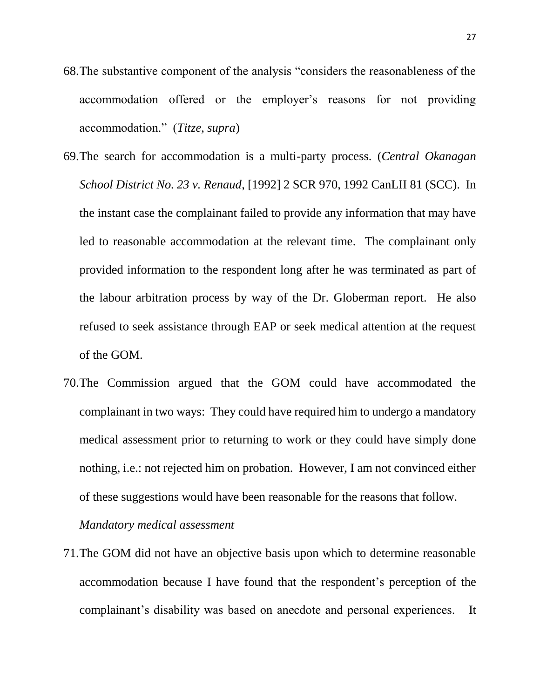- 68.The substantive component of the analysis "considers the reasonableness of the accommodation offered or the employer's reasons for not providing accommodation." (*Titze, supra*)
- 69.The search for accommodation is a multi-party process. (*Central Okanagan School District No. 23 v. Renaud*, [1992] 2 SCR 970, 1992 CanLII 81 (SCC). In the instant case the complainant failed to provide any information that may have led to reasonable accommodation at the relevant time. The complainant only provided information to the respondent long after he was terminated as part of the labour arbitration process by way of the Dr. Globerman report. He also refused to seek assistance through EAP or seek medical attention at the request of the GOM.
- 70.The Commission argued that the GOM could have accommodated the complainant in two ways: They could have required him to undergo a mandatory medical assessment prior to returning to work or they could have simply done nothing, i.e.: not rejected him on probation. However, I am not convinced either of these suggestions would have been reasonable for the reasons that follow.

*Mandatory medical assessment* 

71.The GOM did not have an objective basis upon which to determine reasonable accommodation because I have found that the respondent's perception of the complainant's disability was based on anecdote and personal experiences. It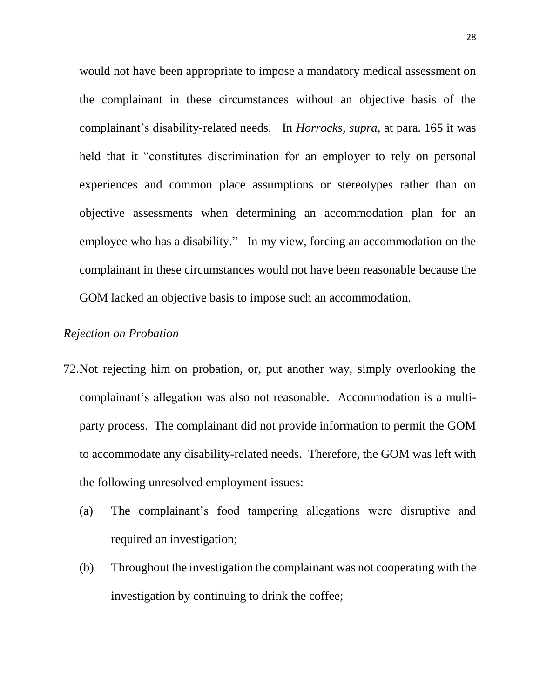would not have been appropriate to impose a mandatory medical assessment on the complainant in these circumstances without an objective basis of the complainant's disability-related needs. In *Horrocks, supra*, at para. 165 it was held that it "constitutes discrimination for an employer to rely on personal experiences and common place assumptions or stereotypes rather than on objective assessments when determining an accommodation plan for an employee who has a disability." In my view, forcing an accommodation on the complainant in these circumstances would not have been reasonable because the GOM lacked an objective basis to impose such an accommodation.

### *Rejection on Probation*

- 72.Not rejecting him on probation, or, put another way, simply overlooking the complainant's allegation was also not reasonable. Accommodation is a multiparty process. The complainant did not provide information to permit the GOM to accommodate any disability-related needs. Therefore, the GOM was left with the following unresolved employment issues:
	- (a) The complainant's food tampering allegations were disruptive and required an investigation;
	- (b) Throughout the investigation the complainant was not cooperating with the investigation by continuing to drink the coffee;